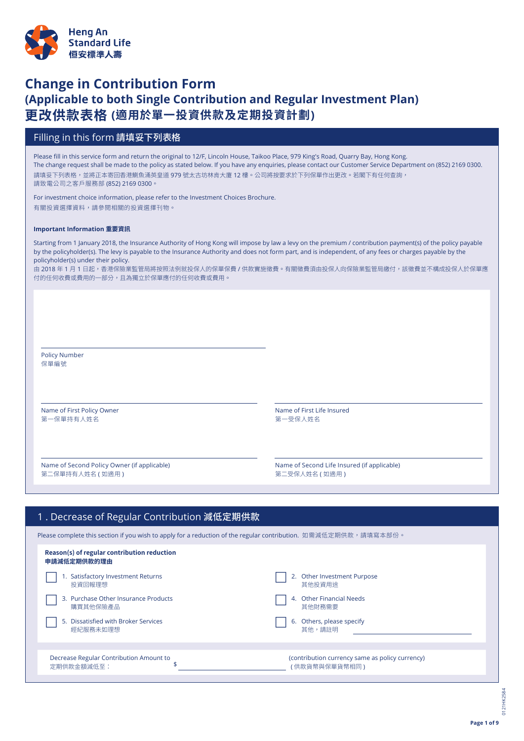

# **Change in Contribution Form (Applicable to both Single Contribution and Regular Investment Plan) 更改供款表格 (適用於單一投資供款及定期投資計劃)**

# Filling in this form 請填妥下列表格

Please fill in this service form and return the original to 12/F, Lincoln House, Taikoo Place, 979 King's Road, Quarry Bay, Hong Kong. The change request shall be made to the policy as stated below. If you have any enquiries, please contact our Customer Service Department on (852) 2169 0300. 請填妥下列表格,並將正本寄回香港鰂魚涌英皇道 979 號太古坊林肯大廈 12 樓。公司將按要求於下列保單作出更改。若閣下有任何查詢, 請致電公司之客戶服務部 (852) 2169 0300。

For investment choice information, please refer to the Investment Choices Brochure. 有關投資選擇資料,請參閱相關的投資選擇刊物。

### **Important Information 重要資訊**

Starting from 1 January 2018, the Insurance Authority of Hong Kong will impose by law a levy on the premium / contribution payment(s) of the policy payable by the policyholder(s). The levy is payable to the Insurance Authority and does not form part, and is independent, of any fees or charges payable by the policyholder(s) under their policy.

由 2018 年 1 月 1 日起,香港保險業監管局將按照法例就投保人的保單保費 / 供款實施徵費。有關徵費須由投保人向保險業監管局繳付,該徵費並不構成投保人於保單應 付的任何收費或費用的一部分,且為獨立於保單應付的任何收費或費用。

Policy Number 保單編號

Name of First Policy Owner Name of First Life Insured 第一保單持有人姓名 第一受保人姓名

Name of Second Policy Owner (if applicable) Name of Second Life Insured (if applicable) 第二保單持有人姓名 ( 如適用 ) 第二受保人姓名 ( 如適用 )

| 1. Decrease of Regular Contribution 減低定期供款                                                                      |                                                                    |
|-----------------------------------------------------------------------------------------------------------------|--------------------------------------------------------------------|
| Please complete this section if you wish to apply for a reduction of the regular contribution. 如需減低定期供款,請填寫本部份。 |                                                                    |
| Reason(s) of regular contribution reduction<br>申請減低定期供款的理由                                                      |                                                                    |
| <b>Satisfactory Investment Returns</b><br>投資回報理想                                                                | Other Investment Purpose<br>2.<br>其他投資用涂                           |
| 3. Purchase Other Insurance Products<br>購買其他保險產品                                                                | <b>Other Financial Needs</b><br>4.<br>其他財務需要                       |
| Dissatisfied with Broker Services<br>5.<br>經紀服務未如理想                                                             | Others, please specify<br>6.<br>其他,請詳明                             |
| Decrease Regular Contribution Amount to<br>定期供款金額減低至:                                                           | (contribution currency same as policy currency)<br>( 供款貨幣與保單貨幣相同 ) |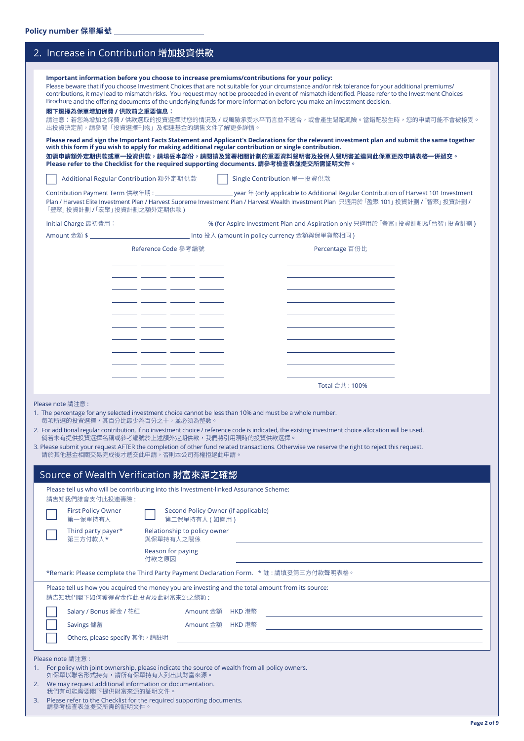| 2. Increase in Contribution 增加投資供款                                                                                                                                                                                                                                                                                                                                                                                                                                                           |                                                                                                                                                                                                                                                                                                                                                                                                                                                                                                                                                                                                                      |
|----------------------------------------------------------------------------------------------------------------------------------------------------------------------------------------------------------------------------------------------------------------------------------------------------------------------------------------------------------------------------------------------------------------------------------------------------------------------------------------------|----------------------------------------------------------------------------------------------------------------------------------------------------------------------------------------------------------------------------------------------------------------------------------------------------------------------------------------------------------------------------------------------------------------------------------------------------------------------------------------------------------------------------------------------------------------------------------------------------------------------|
| Important information before you choose to increase premiums/contributions for your policy:<br>Brochure and the offering documents of the underlying funds for more information before you make an investment decision.<br>閣下選擇為保單增加保費 / 供款前之重要信息:<br>出投資決定前,請參閱「投資選擇刊物」及相連基金的銷售文件了解更多詳情。<br>with this form if you wish to apply for making additional regular contribution or single contribution.<br>Please refer to the Checklist for the required supporting documents. 請參考檢查表並提交所需証明文件。 | Please beware that if you choose Investment Choices that are not suitable for your circumstance and/or risk tolerance for your additional premiums/<br>contributions, it may lead to mismatch risks. You request may not be proceeded in event of mismatch identified. Please refer to the Investment Choices<br>請注意:若您為增加之保費 / 供款選取的投資選擇就您的情況及 / 或風險承受水平而言並不適合,或會產生錯配風險。當錯配發生時,您的申請可能不會被接受。<br>Please read and sign the Important Facts Statement and Applicant's Declarations for the relevant investment plan and submit the same together<br>如需申請額外定期供款或單一投資供款,請填妥本部份,請閱讀及簽署相關計劃的重要資料聲明書及投保人聲明書並連同此保單更改申請表格一併遞交。 |
| Additional Regular Contribution 額外定期供款                                                                                                                                                                                                                                                                                                                                                                                                                                                       | Single Contribution 單一投資供款                                                                                                                                                                                                                                                                                                                                                                                                                                                                                                                                                                                           |
| 「豐聚」投資計劃 / 「宏聚」投資計劃之額外定期供款 )                                                                                                                                                                                                                                                                                                                                                                                                                                                                 | Plan / Harvest Elite Investment Plan / Harvest Supreme Investment Plan / Harvest Wealth Investment Plan 只適用於「盈聚 101」 投資計劃 / 「智聚」 投資計劃 /                                                                                                                                                                                                                                                                                                                                                                                                                                                                              |
|                                                                                                                                                                                                                                                                                                                                                                                                                                                                                              |                                                                                                                                                                                                                                                                                                                                                                                                                                                                                                                                                                                                                      |
|                                                                                                                                                                                                                                                                                                                                                                                                                                                                                              |                                                                                                                                                                                                                                                                                                                                                                                                                                                                                                                                                                                                                      |
| Reference Code 參考編號<br>_ _______ ______ __<br>Please note 請注意:<br>1. The percentage for any selected investment choice cannot be less than 10% and must be a whole number.<br>每項所選的投資選擇,其百分比最少為百分之十,並必須為整數。<br>倘若未有提供投資選擇名稱或參考編號於上述額外定期供款,我們將引用現時的投資供款選擇。<br>請於其他基金相關交易完成後才遞交此申請,否則本公司有權拒絕此申請。                                                                                                                                                                                               | Percentage 百份比<br>Total 合共 : 100%<br>2. For additional regular contribution, if no investment choice / reference code is indicated, the existing investment choice allocation will be used.<br>3. Please submit your request AFTER the completion of other fund related transactions. Otherwise we reserve the right to reject this request.                                                                                                                                                                                                                                                                         |
| Source of Wealth Verification 財富來源之確認                                                                                                                                                                                                                                                                                                                                                                                                                                                        |                                                                                                                                                                                                                                                                                                                                                                                                                                                                                                                                                                                                                      |
| Please tell us who will be contributing into this Investment-linked Assurance Scheme:<br>請告知我們誰會支付此投連壽險:<br><b>First Policy Owner</b><br>Second Policy Owner (if applicable)<br>第一保單持有人<br>第二保單持有人 ( 如適用 )<br>Third party payer*<br>Relationship to policy owner<br>第三方付款人*<br>與保單持有人之關係<br>Reason for paying<br>付款之原因                                                                                                                                                                       |                                                                                                                                                                                                                                                                                                                                                                                                                                                                                                                                                                                                                      |
| *Remark: Please complete the Third Party Payment Declaration Form. * 註: 請填妥第三方付款聲明表格。                                                                                                                                                                                                                                                                                                                                                                                                        |                                                                                                                                                                                                                                                                                                                                                                                                                                                                                                                                                                                                                      |
| Please tell us how you acquired the money you are investing and the total amount from its source:                                                                                                                                                                                                                                                                                                                                                                                            |                                                                                                                                                                                                                                                                                                                                                                                                                                                                                                                                                                                                                      |

請告知我們閣下如何獲得資金作此投資及此財富來源之總額 :

| <b>Savings 儲蓄</b>             | Amount 金額 HKD 港幣 |  |
|-------------------------------|------------------|--|
| Others, please specify 其他,請註明 |                  |  |

Please note 請注意 :

1. For policy with joint ownership, please indicate the source of wealth from all policy owners. <mark>如保</mark>車以聯名形式持有,請所有保車持有人列出其財富來源。

c Salary / Bonus 薪金 / 花紅 Amount 金額 HKD 港幣

- 2. We may request additional information or documentation. 我們有可能需要閣下提供財富來源的証明文件
- 3. Please refer to the Checklist for the required supporting documents. 請參考檢查表並提交所需的証明文件。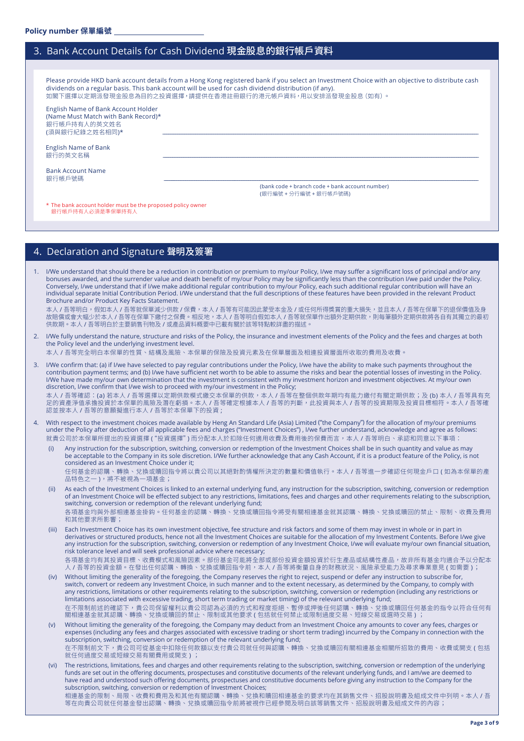# 3. Bank Account Details for Cash Dividend 現金股息的銀行帳戶資料

Please provide HKD bank account details from a Hong Kong registered bank if you select an Investment Choice with an objective to distribute cash dividends on a regular basis. This bank account will be used for cash dividend distribution (if any). 如閣下選擇以定期派發現金股息為目的之投資選擇,請提供在香港註冊銀行的港元帳戶資料,用以安排派發現金股息(如有)。

English Name of Bank Account Holder (Name Must Match with Bank Record)\* 銀行帳戶持有人的英文姓名 (須與銀行紀錄之姓名相同)\*

English Name of Bank 銀行的英文名稱 \_\_\_\_\_\_\_\_\_\_\_\_\_\_\_\_\_\_\_\_\_\_\_\_\_\_\_\_\_\_\_\_\_\_\_\_\_\_\_\_\_\_\_\_\_\_\_\_\_\_\_\_\_\_\_\_\_\_\_\_\_\_\_\_\_\_\_\_\_\_\_\_\_\_\_\_\_\_\_\_\_\_\_\_\_\_\_\_\_\_\_\_\_\_\_\_\_\_\_\_\_\_\_\_\_\_\_\_\_\_\_\_\_\_\_\_\_\_\_\_\_\_\_\_\_\_\_\_\_\_\_\_\_\_\_\_\_\_\_\_\_\_\_\_\_\_\_\_\_\_\_\_\_\_\_\_\_\_\_\_\_\_\_\_\_\_\_\_\_\_\_\_\_\_

Bank Account Name<br>銀行帳戶號碼 銀行帳戶號碼 \_\_\_\_\_\_\_\_\_\_\_\_\_\_\_\_\_\_\_\_\_\_\_\_\_\_\_\_\_\_\_\_\_\_\_\_\_\_\_\_\_\_\_\_\_\_\_\_\_\_\_\_\_\_\_\_\_\_\_\_\_\_\_\_\_\_\_\_\_\_\_\_\_\_\_\_\_\_\_\_\_\_\_\_\_\_\_\_\_\_\_\_\_\_\_\_\_\_\_\_\_\_\_\_\_\_\_\_\_\_\_\_\_\_\_\_\_\_\_\_\_\_\_\_\_\_\_\_\_\_\_\_\_\_\_\_\_\_\_\_\_\_\_\_\_\_\_\_\_\_\_\_\_\_\_\_\_\_\_\_\_\_\_\_\_\_\_\_\_\_\_\_\_\_

(bank code + branch code + bank account number) (銀行編號 + 分行編號 + 銀行帳戶號碼)

\* The bank account holder must be the proposed policy owner 銀行帳戶持有人必須是準保單持有人

## 4. Declaration and Signature 聲明及簽署

1. I/We understand that should there be a reduction in contribution or premium to my/our Policy, I/we may suffer a significant loss of principal and/or any bonuses awarded, and the surrender value and death benefit of my/our Policy may be significantly less than the contribution I/we paid under the Policy. Conversely, I/we understand that if I/we make additional regular contribution to my/our Policy, each such additional regular contribution will have an individual separate Initial Contribution Period. I/We understand that the full descriptions of these features have been provided in the relevant Product Brochure and/or Product Key Facts Statement.

本人 / 吾等明白,假如本人 / 吾等就保單減少供款 / 保費,本人 / 吾等有可能因此蒙受本金及 / 或任何所得獎賞的重大損失,並且本人 / 吾等在保單下的退保價值及身 故賠償或會大幅少於本人 / 吾等在保單下繳付之保費。相反地,本人 / 吾等明白假如本人 / 吾等就保單作出額外定期供款,則每筆額外定期供款將各自有其獨立的最初 供款期。本人 / 吾等明白於主要銷售刊物及 / 或產品資料概要中已載有關於該等特點較詳盡的描述。

2. I/We fully understand the nature, structure and risks of the Policy, the insurance and investment elements of the Policy and the fees and charges at both the Policy level and the underlying investment level.

本人 / 吾等完全明白本保單的性質、結構及風險、本保單的保險及投資元素及在保單層面及相連投資層面所收取的費用及收費。

3. I/We confirm that: (a) if I/we have selected to pay regular contributions under the Policy, I/we have the ability to make such payments throughout the contribution payment terms; and (b) I/we have sufficient net worth to be able to assume the risks and bear the potential losses of investing in the Policy. I/We have made my/our own determination that the investment is consistent with my investment horizon and investment objectives. At my/our own discretion, I/we confirm that I/we wish to proceed with my/our investment in the Policy;

本人 / 吾等確認:(a) 若本人 / 吾等選擇以定期供款模式繳交本保單的供款,本人 / 吾等在整個供款年期均有能力繳付有關定期供款;及 (b) 本人 / 吾等具有充 足的資產淨值承擔投資於本保單的風險及潛在虧損。本人 / 吾等確定根據本人 / 吾等的判斷,此投資與本人 / 吾等的投資期限及投資目標相符。本人 / 吾等確 認並按本人 / 吾等的意願擬進行本人 / 吾等於本保單下的投資 ;

- 4. With respect to the investment choices made available by Heng An Standard Life (Asia) Limited ("the Company") for the allocation of my/our premiums under the Policy after deduction of all applicable fees and charges ("Investment Choices") , I/we further understand, acknowledge and agree as follows: 就貴公司於本保單所提出的投資選擇("投資選擇")而分配本人於扣除任何適用收費及費用後的保費而言,本人 / 吾等明白、承認和同意以下事項:
	- Any instruction for the subscription, switching, conversion or redemption of the Investment Choices shall be in such quantity and value as may be acceptable to the Company in its sole discretion. I/We further acknowledge that any Cash Account, if it is a product feature of the Policy, is not considered as an Investment Choice under it; 任何基金的認購、轉換、兌換或贖回指令將以貴公司以其絕對酌情權所決定的數量和價值執行。本人 / 吾等進一步確認任何現金戶口 ( 如為本保單的產 品特色之一 ),將不被視為一項基金;
	- As each of the Investment Choices is linked to an external underlying fund, any instruction for the subscription, switching, conversion or redemption of an Investment Choice will be effected subject to any restrictions, limitations, fees and charges and other requirements relating to the subscription, switching, conversion or redemption of the relevant underlying fund; 各項基金均與外部相連基金掛鈎。任何基金的認購、轉換、兌換或贖回指令將受有關相連基金就其認購、轉換、兌換或贖回的禁止、限制、收費及費用 和其他要求所影響;
	- (iii) Each Investment Choice has its own investment objective, fee structure and risk factors and some of them may invest in whole or in part in derivatives or structured products, hence not all the Investment Choices are suitable for the allocation of my Investment Contents. Before I/we give any instruction for the subscription, switching, conversion or redemption of any Investment Choice, I/we will evaluate my/our own financial situation, risk tolerance level and will seek professional advice where necessary; 各項基金均有其投資目標、收費模式和風險因素。部份基金可能將全部或部份投資金額投資於衍生產品或結構性產品,故非所有基金均適合予以分配本 人 / 吾等的投資金額。在發出任何認購、轉換、兌換或贖回指令前,本人 / 吾等將衡量自身的財務狀況、風險承受能力及尋求專業意見 ( 如需要 ) ;
	- (iv) Without limiting the generality of the foregoing, the Company reserves the right to reject, suspend or defer any instruction to subscribe for, switch, convert or redeem any Investment Choice, in such manner and to the extent necessary, as determined by the Company, to comply with any restrictions, limitations or other requirements relating to the subscription, switching, conversion or redemption (including any restrictions or limitations associated with excessive trading, short term trading or market timing) of the relevant underlying fund; 在不限制前述的確認下,貴公司保留權利以貴公司認為必須的方式和程度拒絕、暫停或押後任何認購、轉換、兌換或贖回任何基金的指令以符合任何有 關相連基金就其認購、轉換、兌換或贖回的禁止、限制或其他要求 ( 包括就任何禁止或限制過度交易、短線交易或選時交易 ) ;
	- (v) Without limiting the generality of the foregoing, the Company may deduct from an Investment Choice any amounts to cover any fees, charges or expenses (including any fees and charges associated with excessive trading or short term trading) incurred by the Company in connection with the subscription, switching, conversion or redemption of the relevant underlying fund; 在不限制前文下,貴公司可從基金中扣除任何款額以支付貴公司就任何與認購、轉換、兌換或贖回有關相連基金相關所招致的費用、收費或開支 ( 包括 就任何過度交易或短線交易有關費用或開支 ) ;
	- (vi) The restrictions, limitations, fees and charges and other requirements relating to the subscription, switching, conversion or redemption of the underlying funds are set out in the offering documents, prospectuses and constitutive documents of the relevant underlying funds, and I am/we are deemed to have read and understood such offering documents, prospectuses and constitutive documents before giving any instruction to the Company for the subscription, switching, conversion or redemption of Investment Choices; 相連基金的限制、局限、收費和費用及和其他有關認購、轉換、兌換和贖回相連基金的要求均在其銷售文件、招股說明書及組成文件中列明。本人 / 吾 等在向貴公司就任何基金發出認購、轉換、兌換或贖回指令前將被視作已經參閱及明白該等銷售文件、招股說明書及組成文件的內容;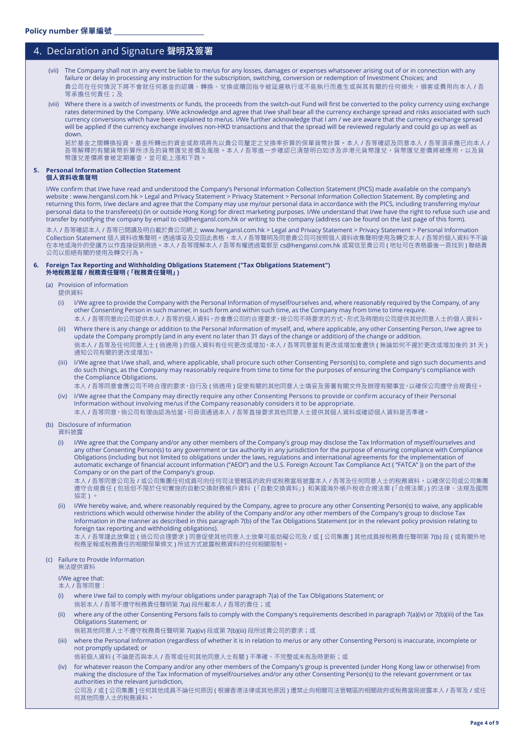# 4. Declaration and Signature 聲明及簽署

- (vii) The Company shall not in any event be liable to me/us for any losses, damages or expenses whatsoever arising out of or in connection with any failure or delay in processing any instruction for the subscription, switching, conversion or redemption of Investment Choices; and 貴公司在任何情況下將不會就任何基金的認購、轉換、兌換或贖回指令被延遲執行或不能執行而產生或與其有關的任何損失,損害或費用向本人 / 吾 等承擔任何責任;及
- (viii) Where there is a switch of investments or funds, the proceeds from the switch-out Fund will first be converted to the policy currency using exchange rates determined by the Company. I/We acknowledge and agree that I/we shall bear all the currency exchange spread and risks associated with such currency conversions which have been explained to me/us. I/We further acknowledge that I am / we are aware that the currency exchange spread will be applied if the currency exchange involves non-HKD transactions and that the spread will be reviewed regularly and could go up as well as down.

若於基金之間轉換投資,基金所轉出的資金或款項將先以貴公司釐定之兌換率折算的保單貨幣計算。本人 / 吾等確認及同意本人 / 吾等須承擔已向本人 / 吾等解釋的有關貨幣折算所涉及的貨幣匯兌差價及風險。本人 / 吾等進一步確認已清楚明白如涉及非港元貨幣匯兌,貨幣匯兌差價將被應用,以及貨 幣匯兌差價將會被定期審查,並可能上漲和下跌。

### **5. Personal Information Collection Statement**

#### **個人資料收集聲明**

I/We confirm that I/we have read and understood the Company's Personal Information Collection Statement (PICS) made available on the company's website : www.hengansl.com.hk > Legal and Privacy Statement > Privacy Statement > Personal Information Collection Statement. By completing and returning this form, I/we declare and agree that the Company may use my/our personal data in accordance with the PICS, including transferring my/our personal data to the transferee(s) (in or outside Hong Kong) for direct marketing purposes. I/We understand that I/we have the right to refuse such use and transfer by notifying the company by email to cs@hengansl.com.hk or writing to the company (address can be found on the last page of this form).

本人 / 吾等確認本人 / 吾等已閱讀及明白載於貴公司網上 www.hengansl.com.hk > Legal and Privacy Statement > Privacy Statement > Personal Information Collection Statement 個人資料收集聲明。透過填妥及交回此表格,本人 / 吾等聲明及同意貴公司可按照個人資料收集聲明使用及轉交本人 / 吾等的個人資料予不論 在本地或海外的受讓方以作直接促銷用途。本人 / 吾等理解本人 / 吾等有權透過電郵至 cs@hengansl.com.hk 或寫信至貴公司 ( 地址可在表格最後一頁找到 ) 聯絡貴 公司以拒絕有關的使用及轉交行為。

#### **6. Foreign Tax Reporting and Withholding Obligations Statement ("Tax Obligations Statement") 外地稅務呈報 / 稅務責任聲明 (「稅務責任聲明」)**

- (a) Provision of information
	- 提供資料
	- (i) I/We agree to provide the Company with the Personal Information of myself/ourselves and, where reasonably required by the Company, of any other Consenting Person in such manner, in such form and within such time, as the Company may from time to time require.
	- 本人 / 吾等同意向公司提供本人 / 吾等的個人資料,亦會應公司的合理要求,按公司不時要求的方式、形式及時間向公司提供其他同意人士的個人資料。 (ii) Where there is any change or addition to the Personal Information of myself, and, where applicable, any other Consenting Person, I/we agree to update the Company promptly (and in any event no later than 31 days of the change or addition) of the change or addition. 倘本人 / 吾等及任何同意人士 ( 倘適用 ) 的個人資料有任何更改或增加,本人 / 吾等同意當有更改或增加會盡快 ( 無論如何不遲於更改或增加後的 31 天 ) 通知公司有關的更改或增加。
	- (iii) I/We agree that I/we shall, and, where applicable, shall procure such other Consenting Person(s) to, complete and sign such documents and do such things, as the Company may reasonably require from time to time for the purposes of ensuring the Company's compliance with the Compliance Obligations.
		- 本人 / 吾等同意會應公司不時合理的要求, 自行及 ( 倘適用 ) 促使有關的其他同意人士填妥及簽署有關文件及辦理有關事宜, 以確保公司遵守合規責任。
	- (iv) I/We agree that the Company may directly require any other Consenting Persons to provide or confirm accuracy of their Personal Information without involving me/us if the Company reasonably considers it to be appropriate. 本人 / 吾等同意, 倘公司有理由認為恰當, 可毋須通過本人 / 吾等直接要求其他同意人士提供其個人資料或確認個人資料是否準確。
- (b) Disclosure of information

資料披露

(i) I/We agree that the Company and/or any other members of the Company's group may disclose the Tax Information of myself/ourselves and any other Consenting Person(s) to any government or tax authority in any jurisdiction for the purpose of ensuring compliance with Compliance Obligations (including but not limited to obligations under the laws, regulations and international agreements for the implementation of automatic exchange of financial account information ("AEOI") and the U.S. Foreign Account Tax Compliance Act ( "FATCA" )) on the part of the Company or on the part of the Company's group.

------------<br>本人 / 吾等同意公司及 / 或公司集團任何成員可向任何司法管轄區的政府或稅務當局披露本人 / 吾等及任何同意人士的稅務資料,以確保公司或公司集團 遵守合規責任 ( 包括但不限於任何實施的自動交換財務帳戶資料 「( 自動交換資料」) 和美國海外帳戶稅收合規法案 「( 合規法案」) 的法律、法規及國際 協定 ) 。

(ii) I/We hereby waive, and, where reasonably required by the Company, agree to procure any other Consenting Person(s) to waive, any applicable restrictions which would otherwise hinder the ability of the Company and/or any other members of the Company's group to disclose Tax Information in the manner as described in this paragraph 7(b) of the Tax Obligations Statement (or in the relevant policy provision relating to foreign tax reporting and withholding obligations).

本人 / 吾等謹此放棄並 ( 倘公司合理要求 ) 同意促使其他同意人士放棄可能妨礙公司及 / 或 [ 公司集團 ] 其他成員按稅務責任聲明第 7(b) 段 ( 或有關外地 稅務呈報或稅務責任的相關保單條文 ) 所述方式披露稅務資料的任何相關限制。

### (c) Failure to Provide Information

無法提供資料

## I/We agree that:

本人 / 吾等同意:

- (i) where I/we fail to comply with my/our obligations under paragraph 7(a) of the Tax Obligations Statement; or 倘若本人 / 吾等不遵守稅務責任聲明第 7(a) 段所載本人 / 吾等的責任;或
- (ii) where any of the other Consenting Persons fails to comply with the Company's requirements described in paragraph 7(a)(iv) or 7(b)(iii) of the Tax Obligations Statement; or
- 倘若其他同意人士不遵守稅務責任聲明第 7(a)(iv) 段或第 7(b)(iii) 段所述貴公司的要求;或
- (iii) where the Personal Information (regardless of whether it is in relation to me/us or any other Consenting Person) is inaccurate, incomplete or not promptly updated; or

倘若個人資料 ( 不論是否與本人 / 吾等或任何其他同意人士有關 ) 不準確、不完整或未有及時更新;或

(iv) for whatever reason the Company and/or any other members of the Company's group is prevented (under Hong Kong law or otherwise) from making the disclosure of the Tax Information of myself/ourselves and/or any other Consenting Person(s) to the relevant government or tax authorities in the relevant jurisdiction, 公司及 / 或 [ 公司集團 ] 任何其他成員不論任何原因 ( 根據香港法律或其他原因 ) 遭禁止向相關司法管轄區的相關政府或稅務當局披露本人 / 吾等及 / 或任 何其他同意人士的稅務資料,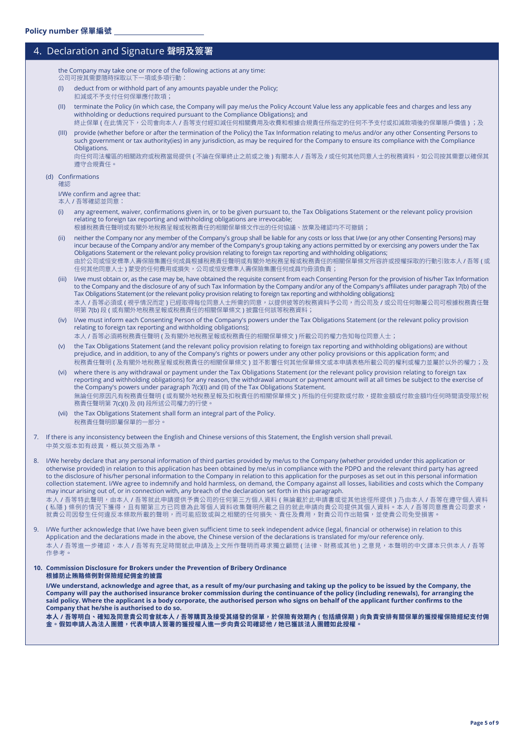# 4. Declaration and Signature 聲明及簽署

the Company may take one or more of the following actions at any time: 公司可按其需要隨時採取以下一項或多項行動:

- (I) deduct from or withhold part of any amounts payable under the Policy;
- 扣減或不予支付任何保單應付款項;
- (II) terminate the Policy (in which case, the Company will pay me/us the Policy Account Value less any applicable fees and charges and less any withholding or deductions required pursuant to the Compliance Obligations); and
- 終止保單 ( 在此情況下,公司會向本人 / 吾等支付經扣減任何相關費用及收費和根據合規責任所指定的任何不予支付或扣減款項後的保單賬戶價值 ) ;及 (III) provide (whether before or after the termination of the Policy) the Tax Information relating to me/us and/or any other Consenting Persons to such government or tax authority(ies) in any jurisdiction, as may be required for the Company to ensure its compliance with the Compliance **Obligations**

向任何司法權區的相關政府或稅務當局提供 ( 不論在保單終止之前或之後 ) 有關本人 / 吾等及 / 或任何其他同意人士的稅務資料,如公司按其需要以確保其 遵守合規責任。

### (d) Confirmations

確認

I/We confirm and agree that:

- 本人 / 吾等確認並同意:
- (i) any agreement, waiver, confirmations given in, or to be given pursuant to, the Tax Obligations Statement or the relevant policy provision relating to foreign tax reporting and withholding obligations are irrevocable; 根據稅務責任聲明或有關外地稅務呈報或稅務責任的相關保單條文作出的任何協議、放棄及確認均不可撤銷;
- (ii) neither the Company nor any member of the Company's group shall be liable for any costs or loss that I/we (or any other Consenting Persons) may incur because of the Company and/or any member of the Company's group taking any actions permitted by or exercising any powers under the Tax Obligations Statement or the relevant policy provision relating to foreign tax reporting and withholding obligations; 由於公司或恒安標準人壽保險集團任何成員根據稅務責任聲明或有關外地稅務呈報或稅務責任的相關保單條文所容許或授權採取的行動引致本人 / 吾等 ( 或 任何其他同意人士 ) 蒙受的任何費用或損失,公司或恒安標準人壽保險集團任何成員均毋須負責;
- (iii) I/we must obtain or, as the case may be, have obtained the requisite consent from each Consenting Person for the provision of his/her Tax Information to the Company and the disclosure of any of such Tax Information by the Company and/or any of the Company's affiliates under paragraph 7(b) of the Tax Obligations Statement (or the relevant policy provision relating to foreign tax reporting and withholding obligations); 本人 / 吾等必須或 ( 視乎情況而定 ) 已經取得每位同意人士所需的同意,以提供彼等的稅務資料予公司,而公司及 / 或公司任何聯屬公司可根據稅務責任聲 明第 7(b) 段 ( 或有關外地稅務呈報或稅務責任的相關保單條文 ) 披露任何該等稅務資料;
- (iv) I/we must inform each Consenting Person of the Company's powers under the Tax Obligations Statement (or the relevant policy provision relating to foreign tax reporting and withholding obligations);

本人 / 吾等必須將稅務責任聲明 ( 及有關外地稅務呈報或稅務責任的相關保單條文 ) 所載公司的權力告知每位同意人士;

- (v) the Tax Obligations Statement (and the relevant policy provision relating to foreign tax reporting and withholding obligations) are without prejudice, and in addition, to any of the Company's rights or powers under any other policy provisions or this application form; and 稅務責任聲明 ( 及有關外地稅務呈報或稅務責任的相關保單條文 ) 並不影響任何其他保單條文或本申請表格所載公司的權利或權力並屬於以外的權力;及
- where there is any withdrawal or payment under the Tax Obligations Statement (or the relevant policy provision relating to foreign tax reporting and withholding obligations) for any reason, the withdrawal amount or payment amount will at all times be subject to the exercise of the Company's powers under paragraph 7(c)(I) and (II) of the Tax Obligations Statement. 無論任何原因凡有稅務責任聲明 ( 或有關外地稅務呈報及扣稅責任的相關保單條文 ) 所指的任何提款或付款,提款金額或付款金額均任何時間須受限於稅 務責任聲明第 7(c)(I) 及 (II) 段所述公司權力的行使。
- (vii) the Tax Obligations Statement shall form an integral part of the Policy. 稅務責任聲明即屬保單的一部分。
- 7. If there is any inconsistency between the English and Chinese versions of this Statement, the English version shall prevail. 中英文版本如有歧異,概以英文版為準。

8. I/We hereby declare that any personal information of third parties provided by me/us to the Company (whether provided under this application or otherwise provided) in relation to this application has been obtained by me/us in compliance with the PDPO and the relevant third party has agreed to the disclosure of his/her personal information to the Company in relation to this application for the purposes as set out in this personal information collection statement. I/We agree to indemnify and hold harmless, on demand, the Company against all losses, liabilities and costs which the Company may incur arising out of, or in connection with, any breach of the declaration set forth in this paragraph. 本人 / 吾等特此聲明,由本人 / 吾等就此申請提供予貴公司的任何第三方個人資料 ( 無論載於此申請書或從其他途徑所提供 ) 乃由本人 / 吾等在遵守個人資料 ( 私隱 ) 條例的情況下獲得,且有關第三方已同意為此等個人資料收集聲明所載之目的就此申請向貴公司提供其個人資料。本人 / 吾等同意應貴公司要求,

9. I/We further acknowledge that I/we have been given sufficient time to seek independent advice (legal, financial or otherwise) in relation to this Application and the declarations made in the above, the Chinese version of the declarations is translated for my/our reference only. 本人 / 吾等進一步確認,本人 / 吾等有充足時間就此申請及上文所作聲明而尋求獨立顧問 ( 法律、財務或其他 ) 之意見, 本聲明的中文譯本只供本人 / 吾等 作參考

就責公司因發生仕何違反本條款所載的聲明,而可能招致或與之相關的仕何損矢、責仕及費用,對責公司作出賠償,亚使責公司免受損害。

#### **10. Commission Disclosure for Brokers under the Prevention of Bribery Ordinance 根據防止賄賂條例對保險經紀佣金的披露**

I/We understand, acknowledge and agree that, as a result of my/our purchasing and taking up the policy to be issued by the Company, the Company will pay the authorised insurance broker commission during the continuance of the policy (including renewals), for arranging the said policy. Where the applicant is a body corporate, the authorised person who signs on behalf of the applicant further confirms to the **Company that he/she is authorised to do so.**

**本人 / 吾等明白、確知及同意貴公司會就本人 / 吾等購買及接受其繕發的保單,於保險有效期內 ( 包括續保期 ) 向負責安排有關保單的獲授權保險經紀支付佣 金。假如申請人為法人團體,代表申請人簽署的獲授權人進一步向貴公司確認他 / 她已獲該法人團體如此授權。**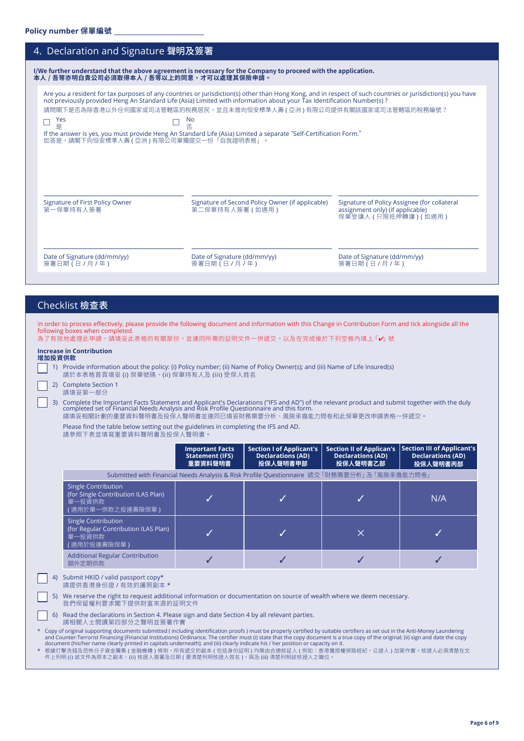| 4. Declaration and Signature 聲明及簽署                    |                                                                                                                                                                                                                                                                                                                                                                                                                                                                                                |                                                                                                          |
|-------------------------------------------------------|------------------------------------------------------------------------------------------------------------------------------------------------------------------------------------------------------------------------------------------------------------------------------------------------------------------------------------------------------------------------------------------------------------------------------------------------------------------------------------------------|----------------------------------------------------------------------------------------------------------|
| 本人 / 吾等亦明白貴公司必須取得本人 / 吾等以上的同意,才可以處理其保險申請。             | I/We further understand that the above agreement is necessary for the Company to proceed with the application.                                                                                                                                                                                                                                                                                                                                                                                 |                                                                                                          |
| Yes<br>是<br>如答是,請閣下向恒安標準人壽 ( 亞洲 ) 有限公司單獨提交一份「自我證明表格」。 | Are you a resident for tax purposes of any countries or jurisdiction(s) other than Hong Kong, and in respect of such countries or jurisdiction(s) you have<br>not previously provided Heng An Standard Life (Asia) Limited with information about your Tax Identification Number(s)?<br>請問閣下是否為除香港以外任何國家或司法管轄區的稅務居民,並且未曾向恒安標準人壽 ( 亞洲 ) 有限公司提供有關該國家或司法管轄區的稅務編號?<br>No<br>否<br>If the answer is yes, you must provide Heng An Standard Life (Asia) Limited a separate "Self-Certification Form." |                                                                                                          |
| Signature of First Policy Owner<br>第一保單持有人簽署          | Signature of Second Policy Owner (if applicable)<br>第二保單持有人簽署 (如適用)                                                                                                                                                                                                                                                                                                                                                                                                                            | Signature of Policy Assignee (for collateral<br>assignment only) (if applicable)<br>保單受讓人 (只限抵押轉讓) (如適用) |
| Date of Signature (dd/mm/yy)<br>簽署日期 (日 / 月 / 年)      | Date of Signature (dd/mm/yy)<br>簽署日期 (日 / 月 / 年)                                                                                                                                                                                                                                                                                                                                                                                                                                               | Date of Signature (dd/mm/yy)<br>簽署日期 (日 / 月 / 年)                                                         |

# Checklist 檢查表

| In order to process effectively, please provide the following document and information with this Change in Contribution Form and tick alongside all the |
|---------------------------------------------------------------------------------------------------------------------------------------------------------|
| following boxes when completed.                                                                                                                         |
| 为了方旗地虎珊芷中转,转植双芷主故的方盟如 <u>囚,盖浦固所乘的</u> 缸明立胜二催派六,因五左宁武络轮玉刮穴故舟捕上 <b>「。</b> 」睫一                                                                             |

| 為了有效地處理此申請,請填妥此表格的有關部份,並連同所需的証明文件一併遞交,以及在完成後於下列空格內填上 「✔」號 |  |  |
|-----------------------------------------------------------|--|--|
|-----------------------------------------------------------|--|--|

| 增加投資供款 | <b>Increase in Contribution</b>                                                                                                                                           |
|--------|---------------------------------------------------------------------------------------------------------------------------------------------------------------------------|
|        | 1) Provide information about the policy: (i) Policy number; (ii) Name of Policy Owner(s); and (iii) Name of Life Insured(s)<br>請於本表格首頁填妥 (i) 保單號碼、(ii) 保單持有人及 (iii) 受保人姓名 |
|        | 2) Complete Section 1<br>請植妥笋—— 邹公                                                                                                                                        |

請填妥第一部分 3) Complete the Important Facts Statement and Applicant's Declarations ("IFS and AD") of the relevant product and submit together with the duly<br>completed set of Financial Needs Analysis and Risk Profile Questionnaire and t

請填妥相關計劃的重要資料聲明書及投保人聲明書並連同已填妥財務需要分析、風險承擔能力問卷和此保單更改申請表格一併遞交。

Please find the table below setting out the guidelines in completing the IFS and AD. 請參照下表並填寫重要資料聲明書及投保人聲明書。

|                                                                                                                                                                                                                                                                                                                                                                                                                                                                                                                                                                                                              | <b>Important Facts</b><br><b>Statement (IFS)</b><br>重要資料聲明書 | <b>Section I of Applicant's</b><br><b>Declarations (AD)</b><br>投保人聲明書甲部                    | <b>Section II of Applican's</b><br><b>Declarations (AD)</b><br>投保人聲明書乙部 | Section III of Applicant's<br><b>Declarations (AD)</b><br>投保人聲明書丙部 |
|--------------------------------------------------------------------------------------------------------------------------------------------------------------------------------------------------------------------------------------------------------------------------------------------------------------------------------------------------------------------------------------------------------------------------------------------------------------------------------------------------------------------------------------------------------------------------------------------------------------|-------------------------------------------------------------|--------------------------------------------------------------------------------------------|-------------------------------------------------------------------------|--------------------------------------------------------------------|
|                                                                                                                                                                                                                                                                                                                                                                                                                                                                                                                                                                                                              |                                                             | Submitted with Financial Needs Analysis & Risk Profile Questionnaire 遞交「財務需要分析」及「風險承擔能力問卷」 |                                                                         |                                                                    |
| Single Contribution<br>(for Single Contribution ILAS Plan)<br>單一投資供款<br>適用於單一供款之投連壽險保單)                                                                                                                                                                                                                                                                                                                                                                                                                                                                                                                      |                                                             |                                                                                            |                                                                         | N/A                                                                |
| Single Contribution<br>(for Regular Contribution ILAS Plan)<br>單一投資供款<br>適用於投連壽險保單)                                                                                                                                                                                                                                                                                                                                                                                                                                                                                                                          |                                                             |                                                                                            | X                                                                       |                                                                    |
| <b>Additional Regular Contribution</b><br>額外定期供款                                                                                                                                                                                                                                                                                                                                                                                                                                                                                                                                                             |                                                             |                                                                                            |                                                                         |                                                                    |
| 4) Submit HKID / valid passport copy*<br>請提供香港身份證 / 有效的護照副本 *                                                                                                                                                                                                                                                                                                                                                                                                                                                                                                                                                |                                                             |                                                                                            |                                                                         |                                                                    |
| We reserve the right to request additional information or documentation on source of wealth where we deem necessary.<br>5)<br>我們保留權利要求閣下提供財富來源的証明文件                                                                                                                                                                                                                                                                                                                                                                                                                                                          |                                                             |                                                                                            |                                                                         |                                                                    |
| 6) Read the declarations in Section 4. Please sign and date Section 4 by all relevant parties.<br>請相關人士閱讀第四部分之聲明並簽署作實                                                                                                                                                                                                                                                                                                                                                                                                                                                                                        |                                                             |                                                                                            |                                                                         |                                                                    |
| * Copy of original supporting documents submitted (including identification proofs) must be properly certified by suitable certifiers as set out in the Anti-Money Laundering<br>and Counter-Terrorist Financing (Financial Institutions) Ordinance. The certifier must (i) state that the copy document is a true copy of the original; (ii) sign and date the copy<br>document (his/her name clearly printed in capitals underneath); and (iii) clearly indicate his / her position or capacity on it.<br>* 坦博打般准线队队族公之咨令等焦 / 全韩继进 \ 故刷,所右通六的可太 / 句托良心缸明 \ 拘雨市全流拔缸   / 刷加,禾进猫摇城伊险您妇,八溪   、灿粹炸塞。拔溪   应须违焚左立 |                                                             |                                                                                            |                                                                         |                                                                    |

\* 根據打擊洗錢及恐怖分子資金籌集 ( 金融機構 ) 條例,所有遞交的副本 ( 包括身份証明 ) 均需由合適核証人 ( 例如:香港獲授權保險經紀,公證人 ) 加簽作實。核證人必須清楚在文<br> 件上列明 (i) 該文件為原本之副本、(ii) 核證人簽署及日期 ( 要清楚列明核證人姓名 ),與及 (iii) 清楚列明該核證人之職位。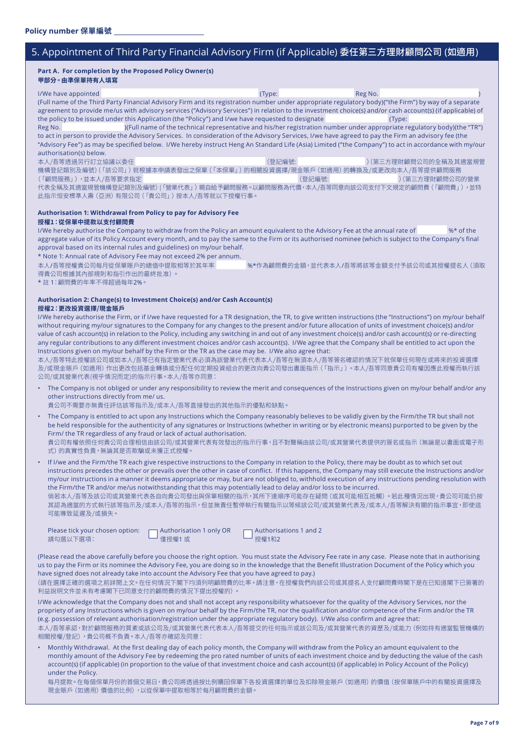# 5. Appointment of Third Party Financial Advisory Firm (if Applicable) 委任第三方理財顧問公司 (如適用)

#### **Part A. For completion by the Proposed Policy Owner(s) 甲部分。由準保單持有人填寫**

I/We have appointed a state of the control of the control of the control of the control of the control of the Reg No. (Full name of the Third Party Financial Advisory Firm and its registration number under appropriate regulatory body)("the Firm") by way of a separate agreement to provide me/us with advisory services ("Advisory Services") in relation to the investment choice(s) and/or cash account(s) (if applicable) of the policy to be issued under this Application (the "Policy") and I/we have requested to designate (Type: Reg No.  $|F(0)|$  name of the technical representative and his/her registration number under appropriate regulatory body)(the "TR") to act in person to provide the Advisory Services. In consideration of the Advisory Services, I/we have agreed to pay the Firm an advisory fee (the "Advisory Fee") as may be specified below. I/We hereby instruct Heng An Standard Life (Asia) Limited ("the Company") to act in accordance with my/our authorisation(s) below.

本人/吾等透過另行訂立協議以委任 (登記編號: )(第三方理財顧問公司的全稱及其適當規管 機構登記類別及編號)(「該公司」) 就根據本申請表發出之保單 (「本保單」) 的相關投資選擇/現金賬戶 (如適用) 的轉換及/或更改向本人/吾等提供顧問服務<br>(「顧問服務」),並本人/吾等要求指定 (「顧問服務」),並本人/吾等要求指定 代表全稱及其適當規管機構登記類別及編號)(「營業代表」)親自給予顧問服務。以顧問服務為代價,本人/吾等同意向該公司支付下文規定的顧問費(「顧問費」),並特 此指示恒安標準人壽(亞洲)有限公司(「貴公司」)按本人/吾等就以下授權行事。

# **Authorisation 1: Withdrawal from Policy to pay for Advisory Fee**

### **授權1:從保單中提款以支付顧問費**

I/We hereby authorise the Company to withdraw from the Policy an amount equivalent to the Advisory Fee at the annual rate of  $\frac{1}{2}$  %\* of the aggregate value of its Policy Account every month, and to pay the same to the Firm or its authorised nominee (which is subject to the Company's final approval based on its internal rules and guidelines) on my/our behalf.

\* Note 1: Annual rate of Advisory Fee may not exceed 2% per annum.

%\*作為顧問費的金額,並代表本人/吾等將該等金額支付予該公司或其授權提名人(須取 得貴公司根據其內部規則和指引作出的最終批准)。

\* 註 1:顧問費的年率不得超過每年2%。

#### **Authorisation 2: Change(s) to Investment Choice(s) and/or Cash Account(s) 授權2:更改投資選擇/現金賬戶**

I/We hereby authorise the Firm, or if I/we have requested for a TR designation, the TR, to give written instructions (the "Instructions") on my/our behalf without requiring my/our signatures to the Company for any changes to the present and/or future allocation of units of investment choice(s) and/or value of cash account(s) in relation to the Policy, including any switching in and out of any investment choice(s) and/or cash account(s) or re-directing any regular contributions to any different investment choices and/or cash account(s). I/We agree that the Company shall be entitled to act upon the Instructions given on my/our behalf by the Firm or the TR as the case may be. I/We also agree that:

本人/吾等特此授權該公司或如本人/吾等已有指定營業代表必須為該營業代表代表本人/吾等在無須本人/吾等簽名確認的情況下就保單任何現在或將來的投資選擇 及/或現金賬戶(如適 用)作出更改包括基金轉換或分配任何定期投資組合的更改向貴公司發出書面指示(「指示」)。本人/吾等同意貴公司有權因應此授權而執行該 公司/或其營業代表(視乎情況而定)的指示行事。本人/吾等亦同意:

• The Company is not obliged or under any responsibility to review the merit and consequences of the Instructions given on my/our behalf and/or any other instructions directly from me/ us.

 貴公司不需要亦無責任評估該等指示及/或本人/吾等直接發出的其他指示的優點和缺點。

- The Company is entitled to act upon any Instructions which the Company reasonably believes to be validly given by the Firm/the TR but shall not be held responsible for the authenticity of any signatures or Instructions (whether in writing or by electronic means) purported to be given by the Firm/ the TR regardless of any fraud or lack of actual authorisation. 貴公司有權依照任何貴公司合理相信由該公司/或其營業代表有效發出的指示行事,且不對聲稱由該公司/或其營業代表提供的簽名或指示(無論是以書面或電子形 式)的真實性負責,無論其是否欺騙或未獲正式授權。
- If I/we and the Firm/the TR each give respective instructions to the Company in relation to the Policy, there may be doubt as to which set out instructions precedes the other or prevails over the other in case of conflict. If this happens, the Company may still execute the Instructions and/or my/our instructions in a manner it deems appropriate or may, but are not obliged to, withhold execution of any instructions pending resolution with the Firm/the TR and/or me/us notwithstanding that this may potentially lead to delay and/or loss to be incurred. 倘若本人/吾等及該公司或其營業代表各自向貴公司發出與保單相關的指示,其所下達順序可能存在疑問 (或其可能相互抵觸) 。若此種情況出現,貴公司可能仍按

其認為適當的方式執行該等指示及/或本人/吾等的指示,但並無責任暫停執行有關指示以等候該公司/或其營業代表及/或本人/吾等解決有關的指示事宜,即使這 可能導致延遲及/或損失。

| Please tick your chosen option: | $\Box$ Authorisation 1 only OR | $\Box$ Authorisations 1 and 2 |
|---------------------------------|--------------------------------|-------------------------------|
| 請勾選以下選項:                        | □ 僅授權1或                        | □ 授權1和2                       |

(Please read the above carefully before you choose the right option. You must state the Advisory Fee rate in any case. Please note that in authorising us to pay the Firm or its nominee the Advisory Fee, you are doing so in the knowledge that the Benefit Illustration Document of the Policy which you have signed does not already take into account the Advisory Fee that you have agreed to pay.)

(請在選擇正確的選項之前詳閱上文。在任何情況下閣下均須列明顧問費的比率。請注意,在授權我們向該公司或其提名人支付顧問費時閣下是在已知道閣下已簽署的 利益說明文件並未有考慮閣下已同意支付的顧問費的情況下提出授權的)。

I/We acknowledge that the Company does not and shall not accept any responsibility whatsoever for the quality of the Advisory Services, nor the propriety of any Instructions which is given on my/our behalf by the Firm/the TR, nor the qualification and/or competence of the Firm and/or the TR (e.g. possession of relevant authorisation/registration under the appropriate regulatory body). I/We also confirm and agree that:

本人/吾等承認,對於顧問服務的質素或該公司及/或其營業代表代表本人/吾等提交的任何指示或該公司及/或其營業代表的資歷及/或能力(例如持有適當監管機構的 相關授權/登記),貴公司概不負責。本人/吾等亦確認及同意:

• Monthly Withdrawal. At the first dealing day of each policy month, the Company will withdraw from the Policy an amount equivalent to the monthly amount of the Advisory Fee by redeeming the pro rated number of units of each investment choice and by deducting the value of the cash account(s) (if applicable) (in proportion to the value of that investment choice and cash account(s) (if applicable) in Policy Account of the Policy) under the Policy.

每月提款。在每個保單月份的首個交易日,貴公司將透過按比例贖回保單下各投資選擇的單位及扣除現金賬戶(如適用)的價值(按保單賬戶中的有關投資選擇及 現金賬戶(如適用)價值的比例),以從保單中提取相等於每月顧問費的金額。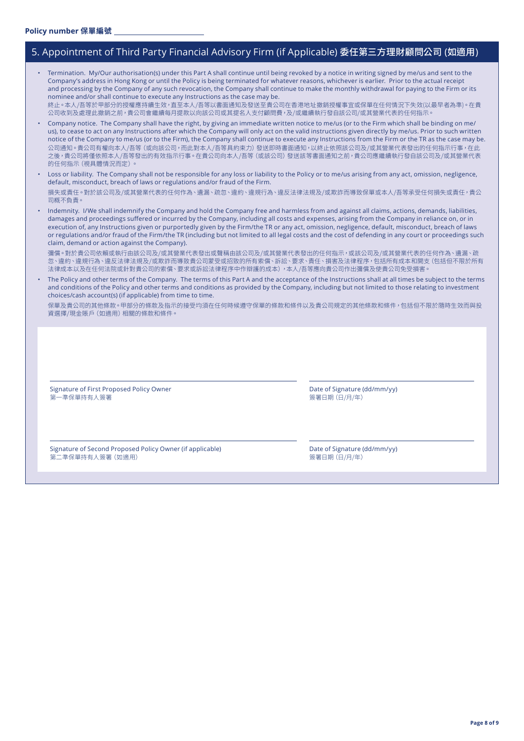# 5. Appointment of Third Party Financial Advisory Firm (if Applicable) 委任第三方理財顧問公司 (如適用)

| Company's address in Hong Kong or until the Policy is being terminated for whatever reasons, whichever is earlier. Prior to the actual receipt<br>and processing by the Company of any such revocation, the Company shall continue to make the monthly withdrawal for paying to the Firm or its<br>nominee and/or shall continue to execute any Instructions as the case may be.<br>終止。本人/吾等於甲部分的授權應持續生效,直至本人/吾等以書面通知及發送至貴公司在香港地址撤銷授權事宜或保單在任何情況下失效(以最早者為準)。在貴<br>公司收到及處理此撤銷之前,貴公司會繼續每月提款以向該公司或其提名人支付顧問費,及/或繼續執行發自該公司/或其營業代表的任何指示。                                                                                                                                 |                                              |
|-------------------------------------------------------------------------------------------------------------------------------------------------------------------------------------------------------------------------------------------------------------------------------------------------------------------------------------------------------------------------------------------------------------------------------------------------------------------------------------------------------------------------------------------------------------------------------------------------------------------------------------------------------------------|----------------------------------------------|
| Company notice. The Company shall have the right, by giving an immediate written notice to me/us (or to the Firm which shall be binding on me/<br>us), to cease to act on any Instructions after which the Company will only act on the valid instructions given directly by me/us. Prior to such written<br>notice of the Company to me/us (or to the Firm), the Company shall continue to execute any Instructions from the Firm or the TR as the case may be.<br>公司通知。貴公司有權向本人/吾等 (或向該公司,而此對本人/吾等具約束力) 發送即時書面通知,以終止依照該公司及/或其營業代表發出的任何指示行事,在此<br>之後,貴公司將僅依照本人/吾等發出的有效指示行事。在貴公司向本人/吾等 (或該公司) 發送該等書面通知之前,貴公司應繼續執行發自該公司及/或其營業代表<br>的任何指示 (視具體情況而定)。                |                                              |
| Loss or liability. The Company shall not be responsible for any loss or liability to the Policy or to me/us arising from any act, omission, negligence,<br>default, misconduct, breach of laws or regulations and/or fraud of the Firm.                                                                                                                                                                                                                                                                                                                                                                                                                           |                                              |
| 損失或責任。對於該公司及/或其營業代表的任何作為、遺漏、疏忽、違約、違規行為、違反法律法規及/或欺詐而導致保單或本人/吾等承受任何損失或責任,貴公<br>司概不負責。                                                                                                                                                                                                                                                                                                                                                                                                                                                                                                                                                                               |                                              |
| Indemnity. I/We shall indemnify the Company and hold the Company free and harmless from and against all claims, actions, demands, liabilities,<br>damages and proceedings suffered or incurred by the Company, including all costs and expenses, arising from the Company in reliance on, or in<br>execution of, any Instructions given or purportedly given by the Firm/the TR or any act, omission, negligence, default, misconduct, breach of laws<br>or regulations and/or fraud of the Firm/the TR (including but not limited to all legal costs and the cost of defending in any court or proceedings such<br>claim, demand or action against the Company). |                                              |
| 彌償。對於貴公司依賴或執行由該公司及/或其營業代表發出或聲稱由該公司及/或其營業代表發出的任何指示,或該公司及/或其營業代表的任何作為、遺漏、疏<br>忽、違約、違規行為、違反法律法規及/或欺詐而導致貴公司蒙受或招致的所有索償、訴訟、要求、責任、損害及法律程序,包括所有成本和開支 (包括但不限於所有<br>法律成本以及在任何法院或針對貴公司的索償、要求或訴訟法律程序中作辯護的成本),本人/吾等應向貴公司作出彌償及使貴公司免受損害。                                                                                                                                                                                                                                                                                                                                                                                                                                         |                                              |
| The Policy and other terms of the Company. The terms of this Part A and the acceptance of the Instructions shall at all times be subject to the terms<br>and conditions of the Policy and other terms and conditions as provided by the Company, including but not limited to those relating to investment<br>choices/cash account(s) (if applicable) from time to time.                                                                                                                                                                                                                                                                                          |                                              |
| 保單及貴公司的其他條款。甲部分的條款及指示的接受均須在任何時候遵守保單的條款和條件以及貴公司規定的其他條款和條件,包括但不限於隨時生效而與投<br>資選擇/現金賬戶 (如適用) 相關的條款和條件。                                                                                                                                                                                                                                                                                                                                                                                                                                                                                                                                                                |                                              |
|                                                                                                                                                                                                                                                                                                                                                                                                                                                                                                                                                                                                                                                                   |                                              |
| Signature of First Proposed Policy Owner<br>第一準保單持有人簽署                                                                                                                                                                                                                                                                                                                                                                                                                                                                                                                                                                                                            | Date of Signature (dd/mm/yy)<br>簽署日期 (日/月/年) |
|                                                                                                                                                                                                                                                                                                                                                                                                                                                                                                                                                                                                                                                                   |                                              |
| Signature of Second Proposed Policy Owner (if applicable)<br>第二準保單持有人簽署 (如適用)                                                                                                                                                                                                                                                                                                                                                                                                                                                                                                                                                                                     | Date of Signature (dd/mm/yy)<br>簽署日期 (日/月/年) |